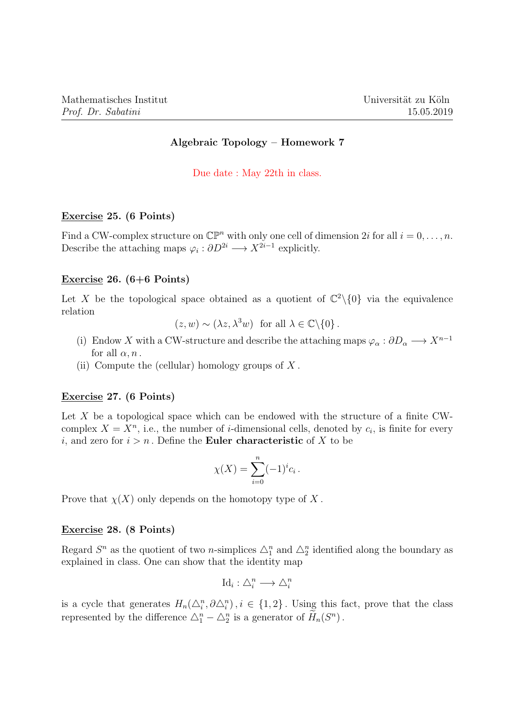# Algebraic Topology – Homework 7

Due date : May 22th in class.

#### Exercise 25. (6 Points)

Find a CW-complex structure on  $\mathbb{CP}^n$  with only one cell of dimension 2i for all  $i = 0, \ldots, n$ . Describe the attaching maps  $\varphi_i : \partial D^{2i} \longrightarrow X^{2i-1}$  explicitly.

#### Exercise 26. (6+6 Points)

Let X be the topological space obtained as a quotient of  $\mathbb{C}^2\setminus\{0\}$  via the equivalence relation

 $(z, w) \sim (\lambda z, \lambda^3 w)$  for all  $\lambda \in \mathbb{C} \backslash \{0\}$ .

- (i) Endow X with a CW-structure and describe the attaching maps  $\varphi_{\alpha}: \partial D_{\alpha} \longrightarrow X^{n-1}$ for all  $\alpha$ ,  $n$ .
- (ii) Compute the (cellular) homology groups of  $X$ .

## Exercise 27. (6 Points)

Let  $X$  be a topological space which can be endowed with the structure of a finite CWcomplex  $X = X<sup>n</sup>$ , i.e., the number of *i*-dimensional cells, denoted by  $c<sub>i</sub>$ , is finite for every *i*, and zero for  $i > n$ . Define the **Euler characteristic** of X to be

$$
\chi(X) = \sum_{i=0}^{n} (-1)^{i} c_{i}.
$$

Prove that  $\chi(X)$  only depends on the homotopy type of X.

## Exercise 28. (8 Points)

Regard  $S^n$  as the quotient of two *n*-simplices  $\Delta_1^n$  and  $\Delta_2^n$  identified along the boundary as explained in class. One can show that the identity map

$$
\mathrm{Id}_i:\triangle_i^n\longrightarrow\triangle_i^n
$$

is a cycle that generates  $H_n(\Delta_i^n, \partial \Delta_i^n)$ ,  $i \in \{1,2\}$ . Using this fact, prove that the class represented by the difference  $\Delta_1^n - \Delta_2^n$  is a generator of  $\widetilde{H}_n(S^n)$ .